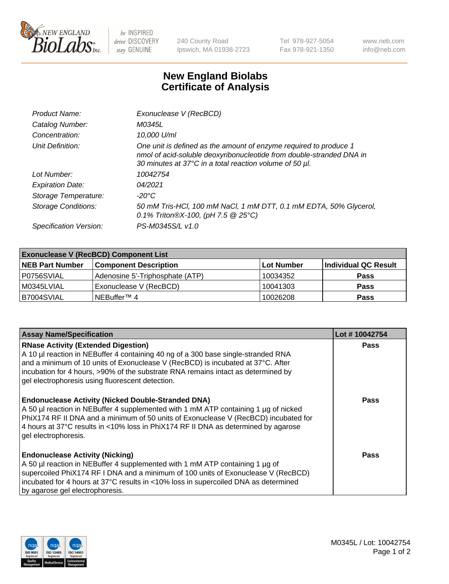

 $be$  INSPIRED drive DISCOVERY stay GENUINE

240 County Road Ipswich, MA 01938-2723 Tel 978-927-5054 Fax 978-921-1350 www.neb.com info@neb.com

## **New England Biolabs Certificate of Analysis**

| Product Name:              | Exonuclease V (RecBCD)                                                                                                                                                                               |
|----------------------------|------------------------------------------------------------------------------------------------------------------------------------------------------------------------------------------------------|
| Catalog Number:            | M0345L                                                                                                                                                                                               |
| Concentration:             | 10,000 U/ml                                                                                                                                                                                          |
| Unit Definition:           | One unit is defined as the amount of enzyme required to produce 1<br>nmol of acid-soluble deoxyribonucleotide from double-stranded DNA in<br>30 minutes at 37°C in a total reaction volume of 50 µl. |
| Lot Number:                | 10042754                                                                                                                                                                                             |
| <b>Expiration Date:</b>    | 04/2021                                                                                                                                                                                              |
| Storage Temperature:       | $-20^{\circ}$ C                                                                                                                                                                                      |
| <b>Storage Conditions:</b> | 50 mM Tris-HCl, 100 mM NaCl, 1 mM DTT, 0.1 mM EDTA, 50% Glycerol,<br>0.1% Triton®X-100, (pH 7.5 $@25°C$ )                                                                                            |
| Specification Version:     | PS-M0345S/L v1.0                                                                                                                                                                                     |

| <b>Exonuclease V (RecBCD) Component List</b> |                                 |            |                      |  |
|----------------------------------------------|---------------------------------|------------|----------------------|--|
| <b>NEB Part Number</b>                       | <b>Component Description</b>    | Lot Number | Individual QC Result |  |
| I P0756SVIAL                                 | Adenosine 5'-Triphosphate (ATP) | 10034352   | <b>Pass</b>          |  |
| M0345LVIAL                                   | Exonuclease V (RecBCD)          | 10041303   | <b>Pass</b>          |  |
| B7004SVIAL                                   | NEBuffer <sup>™</sup> 4         | 10026208   | <b>Pass</b>          |  |

| <b>Assay Name/Specification</b>                                                                                                                                                                                                                                                                                                                             | Lot #10042754 |
|-------------------------------------------------------------------------------------------------------------------------------------------------------------------------------------------------------------------------------------------------------------------------------------------------------------------------------------------------------------|---------------|
| <b>RNase Activity (Extended Digestion)</b><br>A 10 µl reaction in NEBuffer 4 containing 40 ng of a 300 base single-stranded RNA<br>and a minimum of 10 units of Exonuclease V (RecBCD) is incubated at 37°C. After<br>incubation for 4 hours, >90% of the substrate RNA remains intact as determined by<br>gel electrophoresis using fluorescent detection. | <b>Pass</b>   |
| <b>Endonuclease Activity (Nicked Double-Stranded DNA)</b><br>A 50 µl reaction in NEBuffer 4 supplemented with 1 mM ATP containing 1 µg of nicked<br>PhiX174 RF II DNA and a minimum of 50 units of Exonuclease V (RecBCD) incubated for<br>4 hours at 37°C results in <10% loss in PhiX174 RF II DNA as determined by agarose<br>gel electrophoresis.       | Pass          |
| <b>Endonuclease Activity (Nicking)</b><br>A 50 µl reaction in NEBuffer 4 supplemented with 1 mM ATP containing 1 µg of<br>supercoiled PhiX174 RF I DNA and a minimum of 100 units of Exonuclease V (RecBCD)<br>incubated for 4 hours at 37°C results in <10% loss in supercoiled DNA as determined<br>by agarose gel electrophoresis.                       | Pass          |